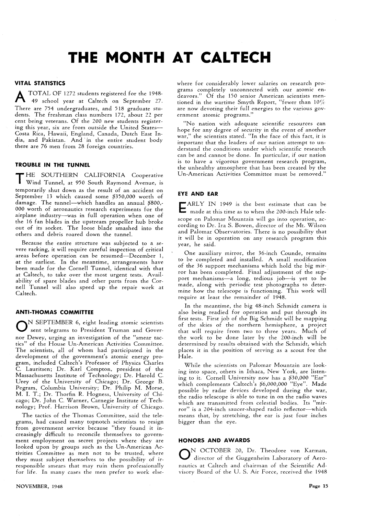# **THE MONTH AT CALTECH**

#### **VITAL STATISTICS**

A TOTAL OF 1272 students registered for the 1948- 49 school year at Caltech on September 27. There are 754 undergraduates, and 518 graduate students. The freshman class numbers 172, about 22 per cent being veterans. Of the 200 new students registering this year, six are from outside the United States-Costa Rica, Hawaii, England, Canada, Dutch East India, and Pakistan. And' in the entire student body there are 76 men from 28 foreign countries.

#### **TROUBLE IN THE TUNNEL**

T HE SOUTHERN CALIFORNIA Cooperative Wind Tunnel, at 950 South Raymond Avenue, is temporarily shut down as the result of an accident on September 13 which caused some \$350,000 worth of damage. The tunnel-which handles an annual \$800,-000 worth of aeronautics research experiments for the airplane industry-was in full operation when one of the 16 fan blades in the upstream propeller hub broke out of its socket. The loose blade smashed into the others and debris roared down the tunnel.

Because the entire structure was subjected to a severe racking, it will require careful inspection of critical areas before operation can be resumed-December 1, at the earliest. In the meantime, arrangements have been made for the Cornell Tunnel, identical with that at Caltech, to take over the most urgent tests. Availability of spare blades and other parts from the Cornell Tunnel will also speed up the repair work at Caltech.

#### **ANTI-THOMAS COMMITTEE**

 $\mathbf{C}^{\text{N SEPTEMBER 6, eight leading atomic scientists}}$  sent telegrams to President Truman and Governor Dewey, urging an investigation of the "smear tactics" of the House Un-American Activities Committee. The scientists, all of whom had participated in the development of the government's atomic energy program, included Caltech's Professor of Physics Charles C. Lauritsen; Dr. Karl Compton, president of the Massachusetts Institute of Technology; Dr. Harold C. Urey of the University of Chicago; Dr. George B. Pegram, Columbia University; Dr. Philip M. Morse, M. 1. T.; Dr. Thorfin R. Hogness, University of Chicago; Dr. John C. Warner, Carnegie Institute of Technology; Prof. Harrison Brown, University of Chicago.

The tactics of the Thomas Committee, said the telegrams, had caused many topnotch scientists to resign from government service because "they found it increasingly difficult to reconcile themselves to government employment on secret projects where they are looked upon by groups such as the Un-American Activities Committee as men not to be trusted, where they must subject themselves to the possibility of irresponsible smears that may ruin them professionally for life. In many cases the men prefer to work else-

#### NOVEMBER, 1948

where for considerably lower salaries on research programs completely unconnected with our atomic endeavors." Of the 150 senior American scientists mentioned in the wartime Smyth Report, "fewer than  $10\%$ are now devoting their full energies to the various government atomic programs."

"No nation with adequate scientific resources can hope for any degree of security in the event of another war," the scientists stated. "In the face of this fact, it is important that the leaders of our nation attempt to understand the conditions under which scientific research can be and cannot be done. In particular, if our nation is to have a vigorous government research program, the unhealthy atmosphere that has been created by the Un-American Activities Committee must be removed."

#### **EYE AND EAR**

**EXELY IN 1949** is the best estimate that can be made at this time as to when the 200-inch Hale telescope on Palomar Mountain will go into operation, according to Dr. Ira S. Bowen, director of the Mt. Wilson and Palomar Observatories. There is no possibility that it will be in operation on any research program this year, he said.

One auxiliary mirror, the 36-inch Counde, remains to be completed and installed. A small modification of the 36 support mechanisms which hold the big mirror has been completed. Final adjustment of the support mechanisms-a long, tedious job--is yet to be made, along with periodic test photographs to determine how the telescope is functioning. This work will require at least the remainder of 1948.

In the meantime, the big 48-inch Schmidt camera is also being readied for operation and put through its first tests. First job of the Big Schmidt will be mapping of the skies of the northern hemisphere, a project that will require from two to three years. Much of the work to be done later by the 200-inch will be determined by results obtained with the Schmidt, which places it in the position of serving as a scout for the Hale.

While the scientists on Palomar Mountain are looking into space, others in Ithaca, New York, are listening to it. Cornell University now has a \$30,000 "Ear" which complements Caltech's \$6,000,000 "Eye". Made possible by radar devices developed during the war, the radio telescope is able to tune in on the radio waves which are transmitted from celestial bodies. Its "mirror" is a 204-inch saucer-shaped radio reflector-which means that, by stretching, the ear is just four inches bigger than the eye.

#### **HONORS AND AWARDS**

ON OCTOBER 20, Dr. Theodore von Karman, director of the Guggenheim Laboratory of Aeronautics at Caltech and chairman of the Scientific Advisory Board of the U. S. Air Force, received the 1948